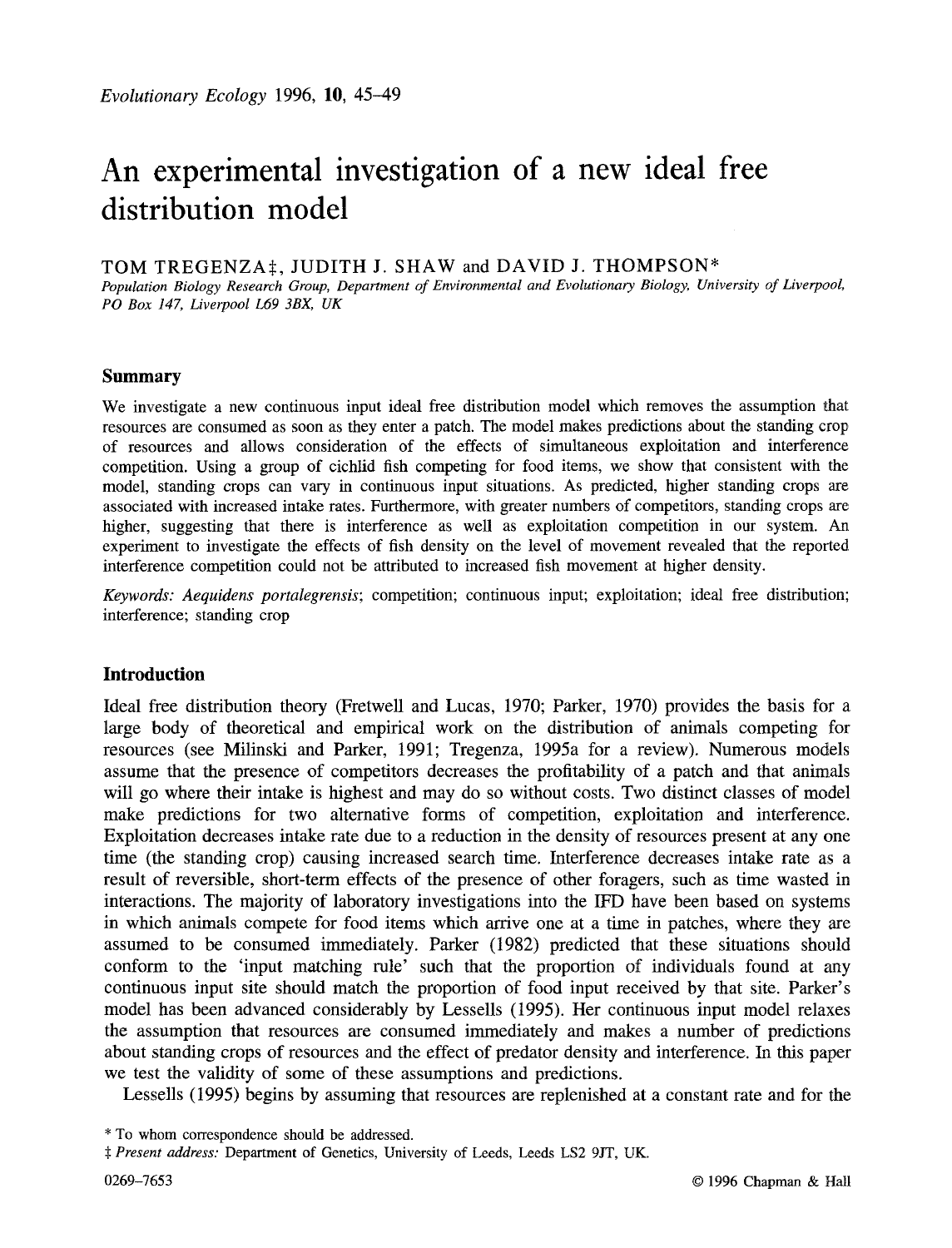# **An experimental investigation of a new ideal free distribution model**

TOM TREGENZA‡, JUDITH J. SHAW and DAVID J. THOMPSON\*

Population Biology Research Group, Department of Environmental and Evolutionary Biology, University of Liverpool, *PO Box 147, Liverpool L69 3BX, UK* 

## **Summary**

We investigate a new continuous input ideal free distribution model which removes the assumption that resources are consumed as soon as they enter a patch. The model makes predictions about the standing crop of resources and allows consideration of the effects of simultaneous exploitation and interference competition. Using a group of cichlid fish competing for food items, we show that consistent with the model, standing crops can vary in continuous input situations. As predicted, higher standing crops are associated with increased intake rates. Furthermore, with greater numbers of competitors, standing crops are higher, suggesting that there is interference as well as exploitation competition in our system. An experiment to investigate the effects of fish density on the level of movement revealed that the reported interference competition could not be attributed to increased fish movement at higher density.

*Keywords: Aequidens portalegrensis;* competition; continuous input; exploitation; ideal free distribution; interference; standing crop

## **Introduction**

Ideal free distribution theory (Fretwell and Lucas, 1970; Parker, 1970) provides the basis for a large body of theoretical and empirical work on the distribution of animals competing for resources (see Milinski and Parker, 1991; Tregenza, 1995a for a review). Numerous models assume that the presence of competitors decreases the profitability of a patch and that animals will go where their intake is highest and may do so without costs. Two distinct classes of model make predictions for two alternative forms of competition, exploitation and interference. Exploitation decreases intake rate due to a reduction in the density of resources present at any one time (the standing crop) causing increased search time. Interference decreases intake rate as a result of reversible, short-term effects of the presence of other foragers, such as time wasted in interactions. The majority of laboratory investigations into the IFD have been based on systems in which animals compete for food items which arrive one at a time in patches, where they are assumed to be consumed immediately. Parker (1982) predicted that these situations should conform to the 'input matching rule' such that the proportion of individuals found at any continuous input site should match the proportion of food input received by that site. Parker's model has been advanced considerably by Lessells (1995). Her continuous input model relaxes the assumption that resources are consumed immediately and makes a number of predictions about standing crops of resources and the effect of predator density and interference. In this paper we test the validity of some of these assumptions and predictions.

Lessells (1995) begins by assuming that resources are replenished at a constant rate and for the

<sup>\*</sup> To whom correspondence should be addressed.

*<sup>\$</sup> Present address:* Department of Genetics, University of Leeds, Leeds LS2 9JT, UK.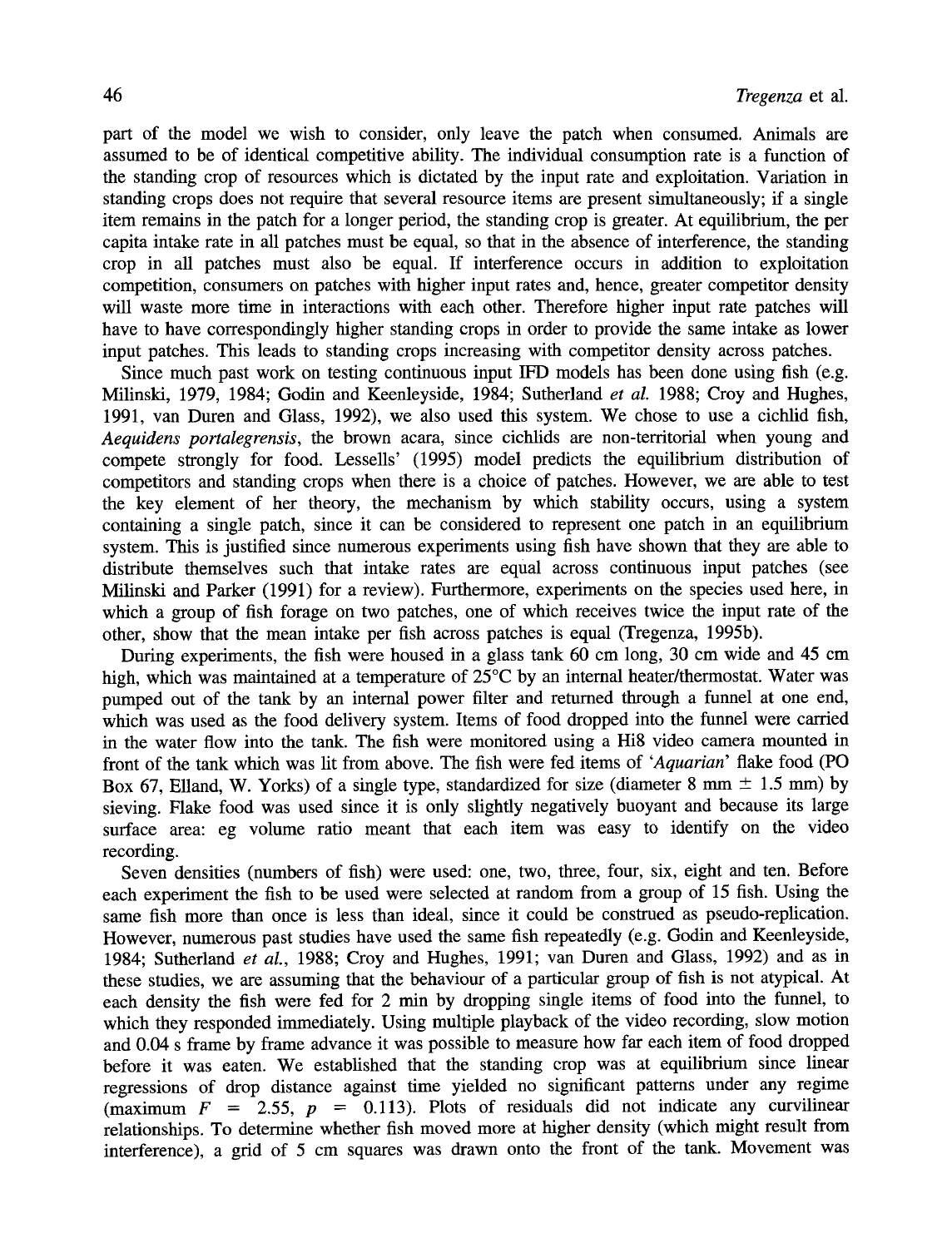part of the model we wish to consider, only leave the patch when consumed. Animals are assumed to be of identical competitive ability. The individual consumption rate is a function of the standing crop of resources which is dictated by the input rate and exploitation. Variation in standing crops does not require that several resource items are present simultaneously; if a single item remains in the patch for a longer period, the standing crop is greater. At equilibrium, the per capita intake rate in all patches must be equal, so that in the absence of interference, the standing crop in all patches must also be equal. If interference occurs in addition to exploitation competition, consumers on patches with higher input rates and, hence, greater competitor density will waste more time in interactions with each other. Therefore higher input rate patches will have to have correspondingly higher standing crops in order to provide the same intake as lower input patches. This leads to standing crops increasing with competitor density across patches.

Since much past work on testing continuous input IFD models has been done using fish (e.g. Milinski, 1979, 1984; Godin and Keenleyside, 1984; Sutherland *et al.* 1988; Croy and Hughes, 1991, van Duren and Glass, 1992), we also used this system. We chose to use a cichlid fish, *Aequidens portalegrensis, the* brown acara, since cichlids are non-territorial when young and compete strongly for food. Lessells' (1995) model predicts the equilibrium distribution of competitors and standing crops when there is a choice of patches. However, we are able to test the key element of her theory, the mechanism by which stability occurs, using a system containing a single patch, since it can be considered to represent one patch in an equilibrium system. This is justified since numerous experiments using fish have shown that they are able to distribute themselves such that intake rates are equal across continuous input patches (see Milinski and Parker (1991) for a review). Furthermore, experiments on the species used here, in which a group of fish forage on two patches, one of which receives twice the input rate of the other, show that the mean intake per fish across patches is equal (Tregenza, 1995b).

During experiments, the fish were housed in a glass tank 60 cm long, 30 cm wide and 45 cm high, which was maintained at a temperature of 25°C by an internal heater/thermostat. Water was pumped out of the tank by an internal power filter and returned through a funnel at one end, which was used as the food delivery system. Items of food dropped into the funnel were carried in the water flow into the tank. The fish were monitored using a Hi8 video camera mounted in front of the tank which was lit from above. The fish were fed items of *'Aquarian'* flake food (PO Box 67, Elland, W. Yorks) of a single type, standardized for size (diameter 8 mm  $\pm$  1.5 mm) by sieving. Flake food was used since it is only slightly negatively buoyant and because its large surface area: eg volume ratio meant that each item was easy to identify on the video recording.

Seven densities (numbers of fish) were used: one, two, three, four, six, eight and ten. Before each experiment the fish to be used were selected at random from a group of 15 fish. Using the same fish more than once is less than ideal, since it could be construed as pseudo-replication. However, numerous past studies have used the same fish repeatedly (e.g. Godin and Keenleyside, 1984; Sutherland *et aL,* 1988; Croy and Hughes, 1991; van Duren and Glass, 1992) and as in these studies, we are assuming that the behaviour of a particular group of fish is not atypical. At each density the fish were fed for 2 min by dropping single items of food into the funnel, to which they responded immediately. Using multiple playback of the video recording, slow motion and 0.04 s frame by frame advance it was possible to measure how far each item of food dropped before it was eaten. We established that the standing crop was at equilibrium since linear regressions of drop distance against time yielded no significant patterns under any regime (maximum  $F = 2.55$ ,  $p = 0.113$ ). Plots of residuals did not indicate any curvilinear relationships. To determine whether fish moved more at higher density (which might result from interference), a grid of 5 cm squares was drawn onto the front of the tank. Movement was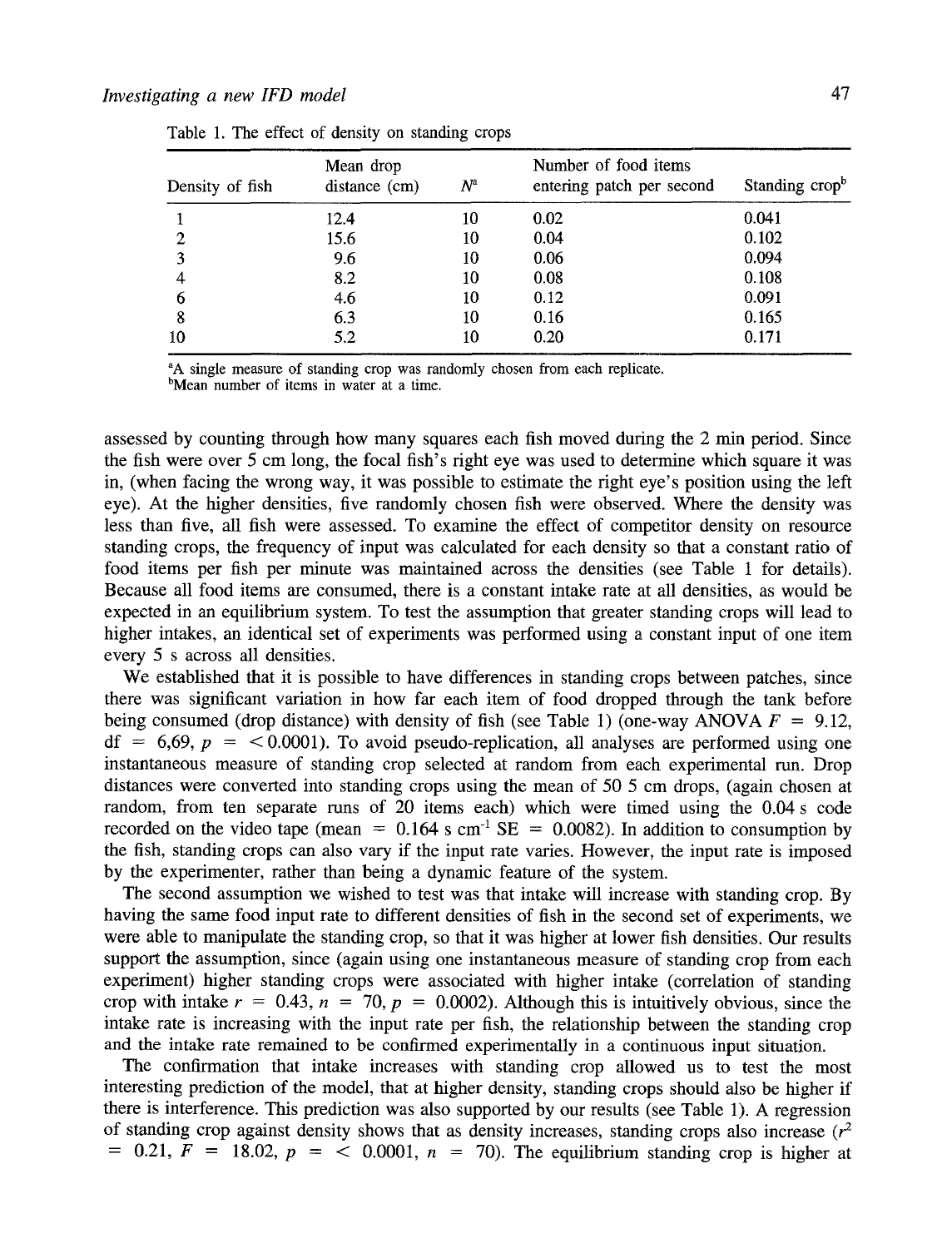# *Investigating a new IFD model*

| Standing cropb |
|----------------|
| 0.041          |
| 0.102          |
| 0.094          |
| 0.108          |
| 0.091          |
| 0.165          |
| 0.171          |
|                |

Table 1. The effect of density on standing crops

<sup>a</sup>A single measure of standing crop was randomly chosen from each replicate. bMean number of items in water at a time.

assessed by counting through how many squares each fish moved during the 2 min period. Since the fish were over 5 cm long, the focal fish's right eye was used to determine which square it was in, (when facing the wrong way, it was possible to estimate the fight eye's position using the left eye). At the higher densities, five randomly chosen fish were observed. Where the density was less than five, all fish were assessed. To examine the effect of competitor density on resource standing crops, the frequency of input was calculated for each density so that a constant ratio of food items per fish per minute was maintained across the densities (see Table 1 for details). Because all food items are consumed, there is a constant intake rate at all densities, as would be expected in an equilibrium system. To test the assumption that greater standing crops will lead to higher intakes, an identical set of experiments was performed using a constant input of one item every 5 s across all densities.

We established that it is possible to have differences in standing crops between patches, since there was significant variation in how far each item of food dropped through the tank before being consumed (drop distance) with density of fish (see Table 1) (one-way ANOVA  $F = 9.12$ ,  $df = 6,69$ ,  $p = < 0.0001$ ). To avoid pseudo-replication, all analyses are performed using one instantaneous measure of standing crop selected at random from each experimental run. Drop distances were converted into standing crops using the mean of 50 5 cm drops, (again chosen at random, from ten separate runs of 20 items each) which were timed using the 0.04 s code recorded on the video tape (mean =  $0.164$  s cm<sup>-1</sup> SE = 0.0082). In addition to consumption by the fish, standing crops can also vary if the input rate varies. However, the input rate is imposed by the experimenter, rather than being a dynamic feature of the system.

The second assumption we wished to test was that intake will increase with standing crop. By having the same food input rate to different densities of fish in the second set of experiments, we were able to manipulate the standing crop, so that it was higher at lower fish densities. Our results support the assumption, since (again using one instantaneous measure of standing crop from each experiment) higher standing crops were associated with higher intake (correlation of standing crop with intake  $r = 0.43$ ,  $n = 70$ ,  $p = 0.0002$ ). Although this is intuitively obvious, since the intake rate is increasing with the input rate per fish, the relationship between the standing crop and the intake rate remained to be confirmed experimentally in a continuous input situation.

The confirmation that intake increases with standing crop allowed us to test the most interesting prediction of the model, that at higher density, standing crops should also be higher if there is interference. This prediction was also supported by our results (see Table 1). A regression of standing crop against density shows that as density increases, standing crops also increase  $(r^2)$  $= 0.21$ ,  $\overline{F} = 18.02$ ,  $p = \langle 0.0001, n = 70 \rangle$ . The equilibrium standing crop is higher at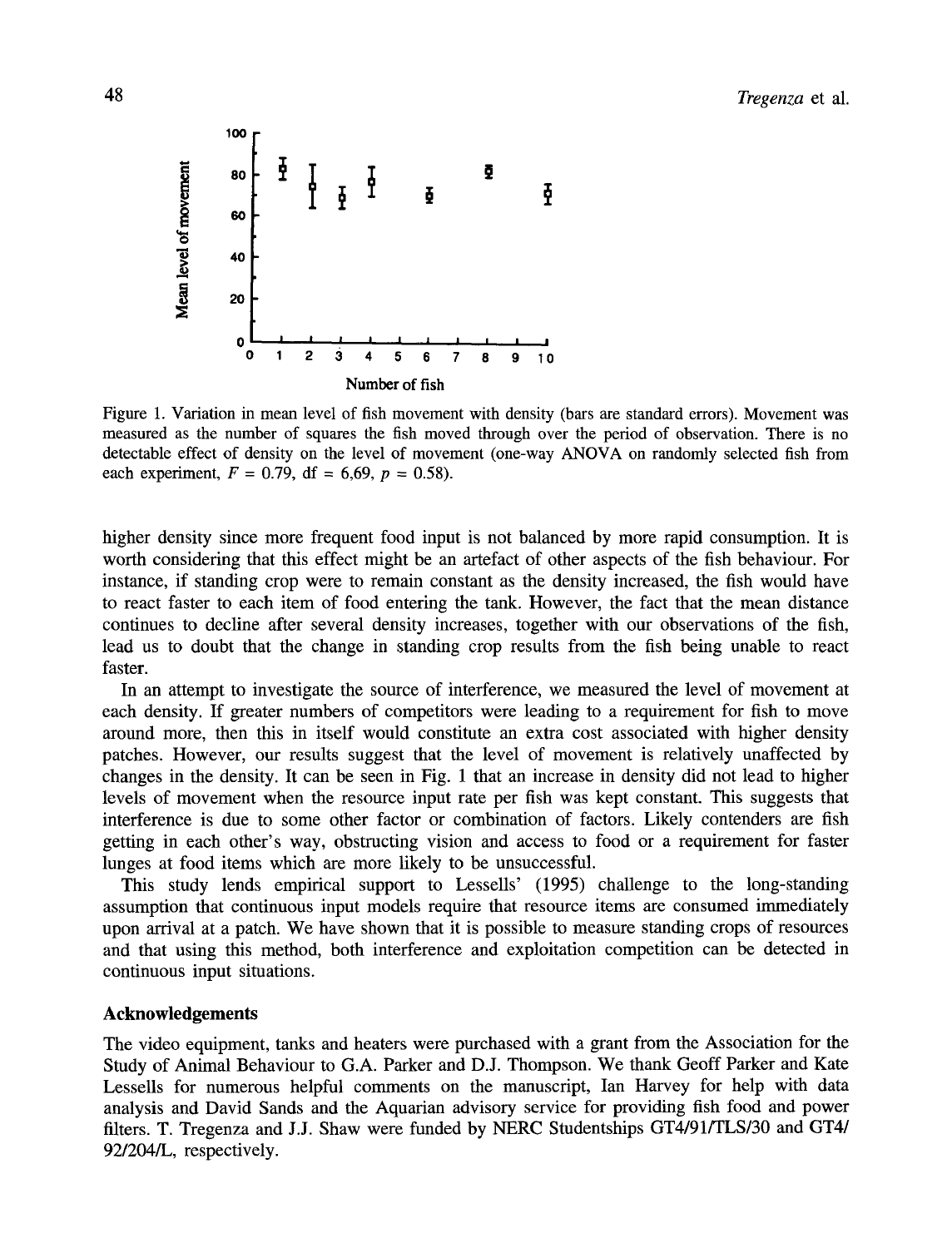

Figure 1. Variation in mean level of fish movement with density (bars are standard errors). Movement was measured as the number of squares the fish moved through over the period of observation. There is no detectable effect of density on the level of movement (one-way ANOVA on randomly selected fish from each experiment,  $F = 0.79$ , df = 6,69,  $p = 0.58$ ).

higher density since more frequent food input is not balanced by more rapid consumption. It is worth considering that this effect might be an artefact of other aspects of the fish behaviour. For instance, if standing crop were to remain constant as the density increased, the fish would have to react faster to each item of food entering the tank. However, the fact that the mean distance continues to decline after several density increases, together with our observations of the fish, lead us to doubt that the change in standing crop results from the fish being unable to react faster.

In an attempt to investigate the source of interference, we measured the level of movement at each density. If greater numbers of competitors were leading to a requirement for fish to move around more, then this in itself would constitute an extra cost associated with higher density patches. However, our results suggest that the level of movement is relatively unaffected by changes in the density. It can be seen in Fig. 1 that an increase in density did not lead to higher levels of movement when the resource input rate per fish was kept constant. This suggests that interference is due to some other factor or combination of factors. Likely contenders are fish getting in each other's way, obstructing vision and access to food or a requirement for faster lunges at food items which are more likely to be unsuccessful.

This study lends empirical support to Lessells' (1995) challenge to the long-standing assumption that continuous input models require that resource items are consumed immediately upon arrival at a patch. We have shown that it is possible to measure standing crops of resources and that using this method, both interference and exploitation competition can be detected in continuous input situations.

#### **Acknowledgements**

The video equipment, tanks and heaters were purchased with a grant from the Association for the Study of Animal Behaviour to G.A. Parker and D.J. Thompson. We thank Geoff Parker and Kate Lessells for numerous helpful comments on the manuscript, Ian Harvey for help with data analysis and David Sands and the Aquarian advisory service for providing fish food and power filters. T. Tregenza and LJ. Shaw were funded by NERC Studentships GT4/91/TLS/30 and GT4/ 92/204/L, respectively.